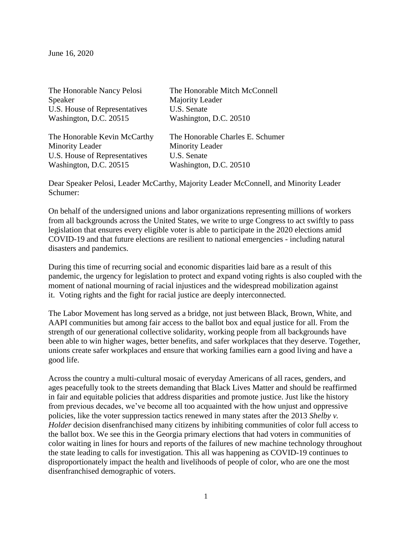June 16, 2020

| The Honorable Nancy Pelosi    | The Honorable Mitch McConnell    |
|-------------------------------|----------------------------------|
| Speaker                       | Majority Leader                  |
| U.S. House of Representatives | U.S. Senate                      |
| Washington, D.C. 20515        | Washington, D.C. 20510           |
| The Honorable Kevin McCarthy  | The Honorable Charles E. Schumer |
| <b>Minority Leader</b>        | <b>Minority Leader</b>           |
| U.S. House of Representatives | U.S. Senate                      |
| Washington, D.C. 20515        | Washington, D.C. 20510           |

Dear Speaker Pelosi, Leader McCarthy, Majority Leader McConnell, and Minority Leader Schumer:

On behalf of the undersigned unions and labor organizations representing millions of workers from all backgrounds across the United States, we write to urge Congress to act swiftly to pass legislation that ensures every eligible voter is able to participate in the 2020 elections amid COVID-19 and that future elections are resilient to national emergencies - including natural disasters and pandemics.

During this time of recurring social and economic disparities laid bare as a result of this pandemic, the urgency for legislation to protect and expand voting rights is also coupled with the moment of national mourning of racial injustices and the widespread mobilization against it. Voting rights and the fight for racial justice are deeply interconnected.

The Labor Movement has long served as a bridge, not just between Black, Brown, White, and AAPI communities but among fair access to the ballot box and equal justice for all. From the strength of our generational collective solidarity, working people from all backgrounds have been able to win higher wages, better benefits, and safer workplaces that they deserve. Together, unions create safer workplaces and ensure that working families earn a good living and have a good life.

Across the country a multi-cultural mosaic of everyday Americans of all races, genders, and ages peacefully took to the streets demanding that Black Lives Matter and should be reaffirmed in fair and equitable policies that address disparities and promote justice. Just like the history from previous decades, we've become all too acquainted with the how unjust and oppressive policies, like the voter suppression tactics renewed in many states after the 2013 *Shelby v. Holder* decision disenfranchised many citizens by inhibiting communities of color full access to the ballot box. We see this in the Georgia primary elections that had voters in communities of color waiting in lines for hours and reports of the failures of new machine technology throughout the state leading to calls for investigation. This all was happening as COVID-19 continues to disproportionately impact the health and livelihoods of people of color, who are one the most disenfranchised demographic of voters.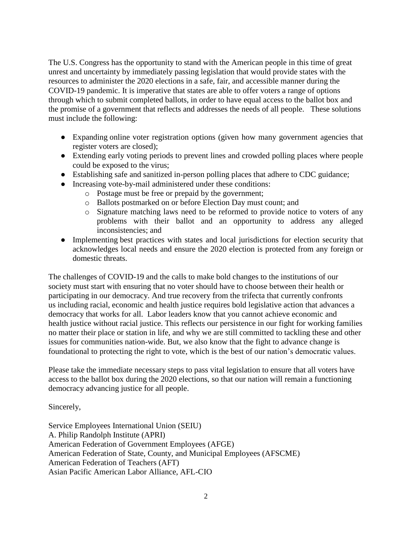The U.S. Congress has the opportunity to stand with the American people in this time of great unrest and uncertainty by immediately passing legislation that would provide states with the resources to administer the 2020 elections in a safe, fair, and accessible manner during the COVID-19 pandemic. It is imperative that states are able to offer voters a range of options through which to submit completed ballots, in order to have equal access to the ballot box and the promise of a government that reflects and addresses the needs of all people. These solutions must include the following:

- Expanding online voter registration options (given how many government agencies that register voters are closed);
- Extending early voting periods to prevent lines and crowded polling places where people could be exposed to the virus;
- Establishing safe and sanitized in-person polling places that adhere to CDC guidance;
- Increasing vote-by-mail administered under these conditions:
	- o Postage must be free or prepaid by the government;
		- o Ballots postmarked on or before Election Day must count; and
		- o Signature matching laws need to be reformed to provide notice to voters of any problems with their ballot and an opportunity to address any alleged inconsistencies; and
- Implementing best practices with states and local jurisdictions for election security that acknowledges local needs and ensure the 2020 election is protected from any foreign or domestic threats.

The challenges of COVID-19 and the calls to make bold changes to the institutions of our society must start with ensuring that no voter should have to choose between their health or participating in our democracy. And true recovery from the trifecta that currently confronts us including racial, economic and health justice requires bold legislative action that advances a democracy that works for all. Labor leaders know that you cannot achieve economic and health justice without racial justice. This reflects our persistence in our fight for working families no matter their place or station in life, and why we are still committed to tackling these and other issues for communities nation-wide. But, we also know that the fight to advance change is foundational to protecting the right to vote, which is the best of our nation's democratic values.

Please take the immediate necessary steps to pass vital legislation to ensure that all voters have access to the ballot box during the 2020 elections, so that our nation will remain a functioning democracy advancing justice for all people.

Sincerely,

Service Employees International Union (SEIU) A. Philip Randolph Institute (APRI) American Federation of Government Employees (AFGE) American Federation of State, County, and Municipal Employees (AFSCME) American Federation of Teachers (AFT) Asian Pacific American Labor Alliance, AFL-CIO